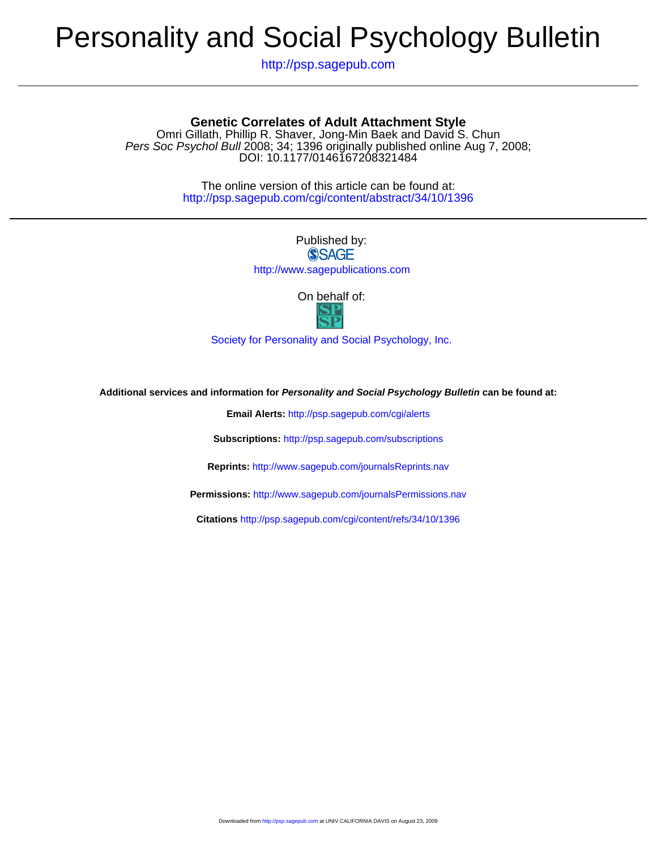# Personality and Social Psychology Bulletin

http://psp.sagepub.com

### **Genetic Correlates of Adult Attachment Style**

DOI: 10.1177/0146167208321484 Pers Soc Psychol Bull 2008; 34; 1396 originally published online Aug 7, 2008; Omri Gillath, Phillip R. Shaver, Jong-Min Baek and David S. Chun

> http://psp.sagepub.com/cgi/content/abstract/34/10/1396 The online version of this article can be found at:

## Published by: **SSAGE**

http://www.sagepublications.com

On behalf of:



[Society for Personality and Social Psychology, Inc.](http://www.spsp.org/)

**Additional services and information for Personality and Social Psychology Bulletin can be found at:**

**Email Alerts:** <http://psp.sagepub.com/cgi/alerts>

**Subscriptions:** <http://psp.sagepub.com/subscriptions>

**Reprints:** <http://www.sagepub.com/journalsReprints.nav>

**Permissions:** <http://www.sagepub.com/journalsPermissions.nav>

**Citations** <http://psp.sagepub.com/cgi/content/refs/34/10/1396>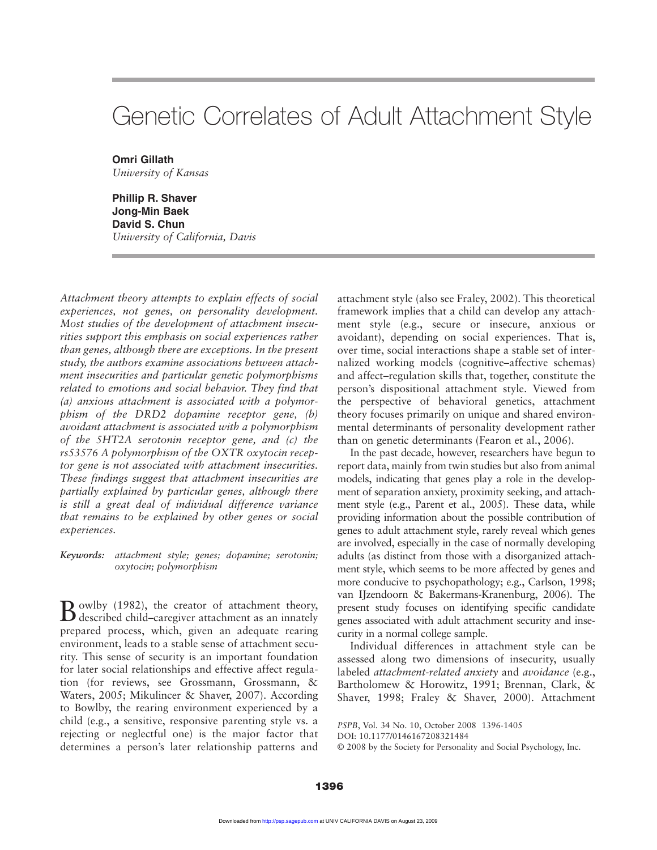# Genetic Correlates of Adult Attachment Style

**Omri Gillath** *University of Kansas*

**Phillip R. Shaver Jong-Min Baek David S. Chun** *University of California, Davis*

*Attachment theory attempts to explain effects of social experiences, not genes, on personality development. Most studies of the development of attachment insecurities support this emphasis on social experiences rather than genes, although there are exceptions. In the present study, the authors examine associations between attachment insecurities and particular genetic polymorphisms related to emotions and social behavior. They find that (a) anxious attachment is associated with a polymorphism of the DRD2 dopamine receptor gene, (b) avoidant attachment is associated with a polymorphism of the 5HT2A serotonin receptor gene, and (c) the rs53576 A polymorphism of the OXTR oxytocin receptor gene is not associated with attachment insecurities. These findings suggest that attachment insecurities are partially explained by particular genes, although there is still a great deal of individual difference variance that remains to be explained by other genes or social experiences.*

*Keywords: attachment style; genes; dopamine; serotonin; oxytocin; polymorphism*

Bowlby (1982), the creator of attachment theory, described child–caregiver attachment as an innately prepared process, which, given an adequate rearing environment, leads to a stable sense of attachment security. This sense of security is an important foundation for later social relationships and effective affect regulation (for reviews, see Grossmann, Grossmann, & Waters, 2005; Mikulincer & Shaver, 2007). According to Bowlby, the rearing environment experienced by a child (e.g., a sensitive, responsive parenting style vs. a rejecting or neglectful one) is the major factor that determines a person's later relationship patterns and attachment style (also see Fraley, 2002). This theoretical framework implies that a child can develop any attachment style (e.g., secure or insecure, anxious or avoidant), depending on social experiences. That is, over time, social interactions shape a stable set of internalized working models (cognitive–affective schemas) and affect–regulation skills that, together, constitute the person's dispositional attachment style. Viewed from the perspective of behavioral genetics, attachment theory focuses primarily on unique and shared environmental determinants of personality development rather than on genetic determinants (Fearon et al., 2006).

In the past decade, however, researchers have begun to report data, mainly from twin studies but also from animal models, indicating that genes play a role in the development of separation anxiety, proximity seeking, and attachment style (e.g., Parent et al., 2005). These data, while providing information about the possible contribution of genes to adult attachment style, rarely reveal which genes are involved, especially in the case of normally developing adults (as distinct from those with a disorganized attachment style, which seems to be more affected by genes and more conducive to psychopathology; e.g., Carlson, 1998; van IJzendoorn & Bakermans-Kranenburg, 2006). The present study focuses on identifying specific candidate genes associated with adult attachment security and insecurity in a normal college sample.

Individual differences in attachment style can be assessed along two dimensions of insecurity, usually labeled *attachment-related anxiety* and *avoidance* (e.g., Bartholomew & Horowitz, 1991; Brennan, Clark, & Shaver, 1998; Fraley & Shaver, 2000). Attachment

*PSPB*, Vol. 34 No. 10, October 2008 1396-1405

DOI: 10.1177/0146167208321484

© 2008 by the Society for Personality and Social Psychology, Inc.

**1396**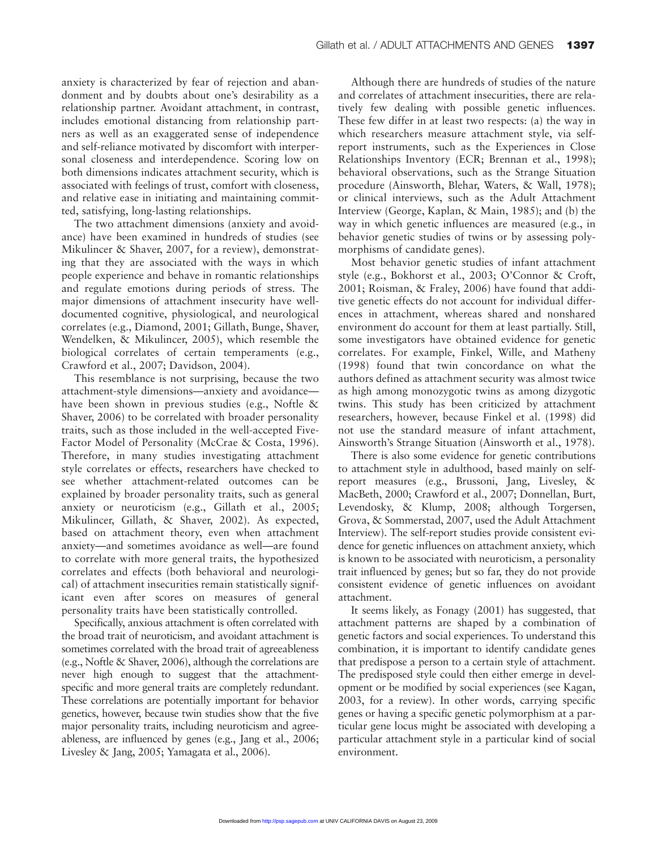anxiety is characterized by fear of rejection and abandonment and by doubts about one's desirability as a relationship partner. Avoidant attachment, in contrast, includes emotional distancing from relationship partners as well as an exaggerated sense of independence and self-reliance motivated by discomfort with interpersonal closeness and interdependence. Scoring low on both dimensions indicates attachment security, which is associated with feelings of trust, comfort with closeness, and relative ease in initiating and maintaining committed, satisfying, long-lasting relationships.

The two attachment dimensions (anxiety and avoidance) have been examined in hundreds of studies (see Mikulincer & Shaver, 2007, for a review), demonstrating that they are associated with the ways in which people experience and behave in romantic relationships and regulate emotions during periods of stress. The major dimensions of attachment insecurity have welldocumented cognitive, physiological, and neurological correlates (e.g., Diamond, 2001; Gillath, Bunge, Shaver, Wendelken, & Mikulincer, 2005), which resemble the biological correlates of certain temperaments (e.g., Crawford et al., 2007; Davidson, 2004).

This resemblance is not surprising, because the two attachment-style dimensions—anxiety and avoidance have been shown in previous studies (e.g., Noftle & Shaver, 2006) to be correlated with broader personality traits, such as those included in the well-accepted Five-Factor Model of Personality (McCrae & Costa, 1996). Therefore, in many studies investigating attachment style correlates or effects, researchers have checked to see whether attachment-related outcomes can be explained by broader personality traits, such as general anxiety or neuroticism (e.g., Gillath et al., 2005; Mikulincer, Gillath, & Shaver, 2002). As expected, based on attachment theory, even when attachment anxiety—and sometimes avoidance as well—are found to correlate with more general traits, the hypothesized correlates and effects (both behavioral and neurological) of attachment insecurities remain statistically significant even after scores on measures of general personality traits have been statistically controlled.

Specifically, anxious attachment is often correlated with the broad trait of neuroticism, and avoidant attachment is sometimes correlated with the broad trait of agreeableness (e.g., Noftle & Shaver, 2006), although the correlations are never high enough to suggest that the attachmentspecific and more general traits are completely redundant. These correlations are potentially important for behavior genetics, however, because twin studies show that the five major personality traits, including neuroticism and agreeableness, are influenced by genes (e.g., Jang et al., 2006; Livesley & Jang, 2005; Yamagata et al., 2006).

Although there are hundreds of studies of the nature and correlates of attachment insecurities, there are relatively few dealing with possible genetic influences. These few differ in at least two respects: (a) the way in which researchers measure attachment style, via selfreport instruments, such as the Experiences in Close Relationships Inventory (ECR; Brennan et al., 1998); behavioral observations, such as the Strange Situation procedure (Ainsworth, Blehar, Waters, & Wall, 1978); or clinical interviews, such as the Adult Attachment Interview (George, Kaplan, & Main, 1985); and (b) the way in which genetic influences are measured (e.g., in behavior genetic studies of twins or by assessing polymorphisms of candidate genes).

Most behavior genetic studies of infant attachment style (e.g., Bokhorst et al., 2003; O'Connor & Croft, 2001; Roisman, & Fraley, 2006) have found that additive genetic effects do not account for individual differences in attachment, whereas shared and nonshared environment do account for them at least partially. Still, some investigators have obtained evidence for genetic correlates. For example, Finkel, Wille, and Matheny (1998) found that twin concordance on what the authors defined as attachment security was almost twice as high among monozygotic twins as among dizygotic twins. This study has been criticized by attachment researchers, however, because Finkel et al. (1998) did not use the standard measure of infant attachment, Ainsworth's Strange Situation (Ainsworth et al., 1978).

There is also some evidence for genetic contributions to attachment style in adulthood, based mainly on selfreport measures (e.g., Brussoni, Jang, Livesley, & MacBeth, 2000; Crawford et al., 2007; Donnellan, Burt, Levendosky, & Klump, 2008; although Torgersen, Grova, & Sommerstad, 2007, used the Adult Attachment Interview). The self-report studies provide consistent evidence for genetic influences on attachment anxiety, which is known to be associated with neuroticism, a personality trait influenced by genes; but so far, they do not provide consistent evidence of genetic influences on avoidant attachment.

It seems likely, as Fonagy (2001) has suggested, that attachment patterns are shaped by a combination of genetic factors and social experiences. To understand this combination, it is important to identify candidate genes that predispose a person to a certain style of attachment. The predisposed style could then either emerge in development or be modified by social experiences (see Kagan, 2003, for a review). In other words, carrying specific genes or having a specific genetic polymorphism at a particular gene locus might be associated with developing a particular attachment style in a particular kind of social environment.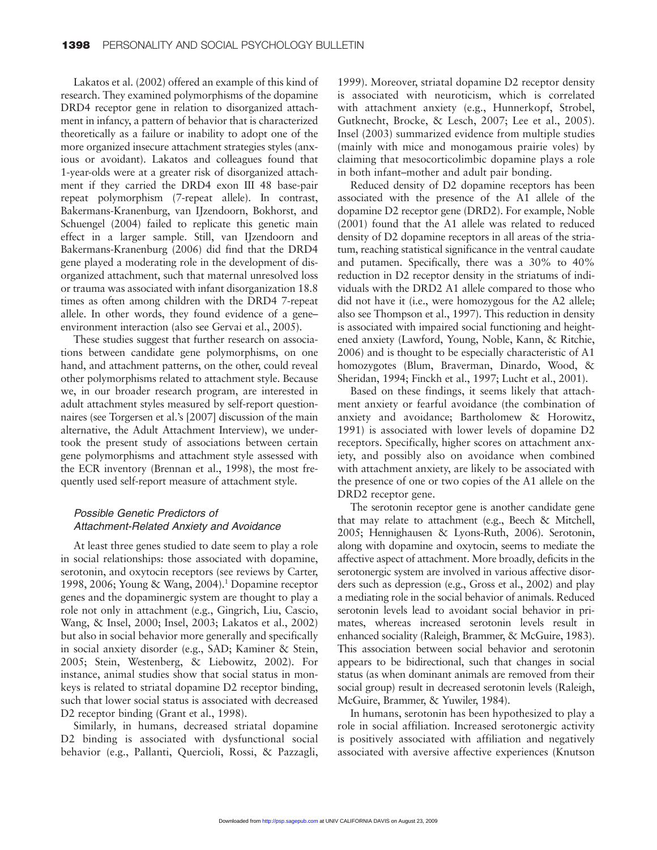Lakatos et al. (2002) offered an example of this kind of research. They examined polymorphisms of the dopamine DRD4 receptor gene in relation to disorganized attachment in infancy, a pattern of behavior that is characterized theoretically as a failure or inability to adopt one of the more organized insecure attachment strategies styles (anxious or avoidant). Lakatos and colleagues found that 1-year-olds were at a greater risk of disorganized attachment if they carried the DRD4 exon III 48 base-pair repeat polymorphism (7-repeat allele). In contrast, Bakermans-Kranenburg, van IJzendoorn, Bokhorst, and Schuengel (2004) failed to replicate this genetic main effect in a larger sample. Still, van IJzendoorn and Bakermans-Kranenburg (2006) did find that the DRD4 gene played a moderating role in the development of disorganized attachment, such that maternal unresolved loss or trauma was associated with infant disorganization 18.8 times as often among children with the DRD4 7-repeat allele. In other words, they found evidence of a gene– environment interaction (also see Gervai et al., 2005).

These studies suggest that further research on associations between candidate gene polymorphisms, on one hand, and attachment patterns, on the other, could reveal other polymorphisms related to attachment style. Because we, in our broader research program, are interested in adult attachment styles measured by self-report questionnaires (see Torgersen et al.'s [2007] discussion of the main alternative, the Adult Attachment Interview), we undertook the present study of associations between certain gene polymorphisms and attachment style assessed with the ECR inventory (Brennan et al., 1998), the most frequently used self-report measure of attachment style.

#### Possible Genetic Predictors of Attachment-Related Anxiety and Avoidance

At least three genes studied to date seem to play a role in social relationships: those associated with dopamine, serotonin, and oxytocin receptors (see reviews by Carter, 1998, 2006; Young & Wang, 2004).1 Dopamine receptor genes and the dopaminergic system are thought to play a role not only in attachment (e.g., Gingrich, Liu, Cascio, Wang, & Insel, 2000; Insel, 2003; Lakatos et al., 2002) but also in social behavior more generally and specifically in social anxiety disorder (e.g., SAD; Kaminer & Stein, 2005; Stein, Westenberg, & Liebowitz, 2002). For instance, animal studies show that social status in monkeys is related to striatal dopamine D2 receptor binding, such that lower social status is associated with decreased D<sub>2</sub> receptor binding (Grant et al., 1998).

Similarly, in humans, decreased striatal dopamine D<sub>2</sub> binding is associated with dysfunctional social behavior (e.g., Pallanti, Quercioli, Rossi, & Pazzagli, 1999). Moreover, striatal dopamine D2 receptor density is associated with neuroticism, which is correlated with attachment anxiety (e.g., Hunnerkopf, Strobel, Gutknecht, Brocke, & Lesch, 2007; Lee et al., 2005). Insel (2003) summarized evidence from multiple studies (mainly with mice and monogamous prairie voles) by claiming that mesocorticolimbic dopamine plays a role in both infant–mother and adult pair bonding.

Reduced density of D2 dopamine receptors has been associated with the presence of the A1 allele of the dopamine D2 receptor gene (DRD2). For example, Noble (2001) found that the A1 allele was related to reduced density of D2 dopamine receptors in all areas of the striatum, reaching statistical significance in the ventral caudate and putamen. Specifically, there was a 30% to 40% reduction in D2 receptor density in the striatums of individuals with the DRD2 A1 allele compared to those who did not have it (i.e., were homozygous for the A2 allele; also see Thompson et al., 1997). This reduction in density is associated with impaired social functioning and heightened anxiety (Lawford, Young, Noble, Kann, & Ritchie, 2006) and is thought to be especially characteristic of A1 homozygotes (Blum, Braverman, Dinardo, Wood, & Sheridan, 1994; Finckh et al., 1997; Lucht et al., 2001).

Based on these findings, it seems likely that attachment anxiety or fearful avoidance (the combination of anxiety and avoidance; Bartholomew & Horowitz, 1991) is associated with lower levels of dopamine D2 receptors. Specifically, higher scores on attachment anxiety, and possibly also on avoidance when combined with attachment anxiety, are likely to be associated with the presence of one or two copies of the A1 allele on the DRD2 receptor gene.

The serotonin receptor gene is another candidate gene that may relate to attachment (e.g., Beech & Mitchell, 2005; Hennighausen & Lyons-Ruth, 2006). Serotonin, along with dopamine and oxytocin, seems to mediate the affective aspect of attachment. More broadly, deficits in the serotonergic system are involved in various affective disorders such as depression (e.g., Gross et al., 2002) and play a mediating role in the social behavior of animals. Reduced serotonin levels lead to avoidant social behavior in primates, whereas increased serotonin levels result in enhanced sociality (Raleigh, Brammer, & McGuire, 1983). This association between social behavior and serotonin appears to be bidirectional, such that changes in social status (as when dominant animals are removed from their social group) result in decreased serotonin levels (Raleigh, McGuire, Brammer, & Yuwiler, 1984).

In humans, serotonin has been hypothesized to play a role in social affiliation. Increased serotonergic activity is positively associated with affiliation and negatively associated with aversive affective experiences (Knutson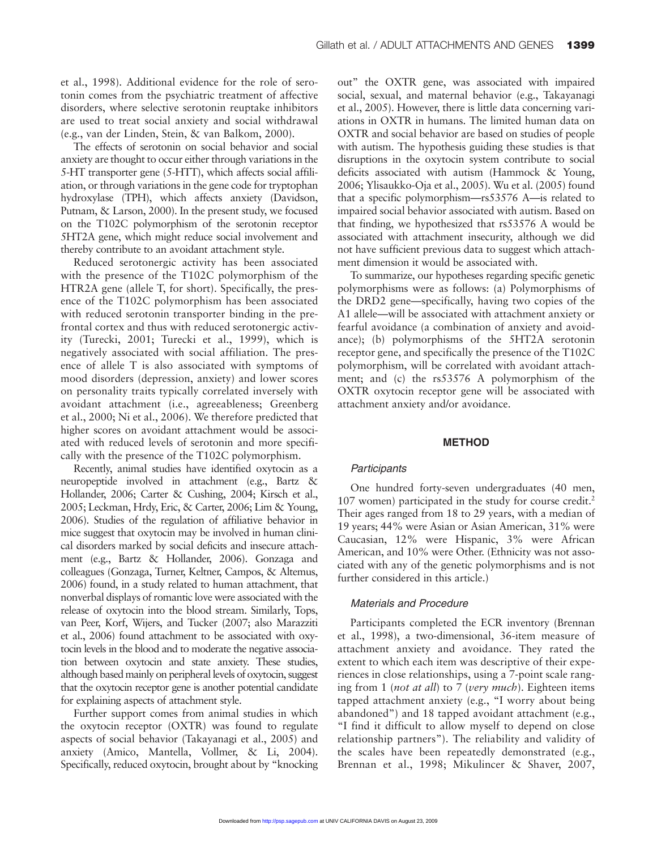et al., 1998). Additional evidence for the role of serotonin comes from the psychiatric treatment of affective disorders, where selective serotonin reuptake inhibitors are used to treat social anxiety and social withdrawal (e.g., van der Linden, Stein, & van Balkom, 2000).

The effects of serotonin on social behavior and social anxiety are thought to occur either through variations in the 5-HT transporter gene (5-HTT), which affects social affiliation, or through variations in the gene code for tryptophan hydroxylase (TPH), which affects anxiety (Davidson, Putnam, & Larson, 2000). In the present study, we focused on the T102C polymorphism of the serotonin receptor 5HT2A gene, which might reduce social involvement and thereby contribute to an avoidant attachment style.

Reduced serotonergic activity has been associated with the presence of the T102C polymorphism of the HTR2A gene (allele T, for short). Specifically, the presence of the T102C polymorphism has been associated with reduced serotonin transporter binding in the prefrontal cortex and thus with reduced serotonergic activity (Turecki, 2001; Turecki et al., 1999), which is negatively associated with social affiliation. The presence of allele T is also associated with symptoms of mood disorders (depression, anxiety) and lower scores on personality traits typically correlated inversely with avoidant attachment (i.e., agreeableness; Greenberg et al., 2000; Ni et al., 2006). We therefore predicted that higher scores on avoidant attachment would be associated with reduced levels of serotonin and more specifically with the presence of the T102C polymorphism.

Recently, animal studies have identified oxytocin as a neuropeptide involved in attachment (e.g., Bartz & Hollander, 2006; Carter & Cushing, 2004; Kirsch et al., 2005; Leckman, Hrdy, Eric, & Carter, 2006; Lim & Young, 2006). Studies of the regulation of affiliative behavior in mice suggest that oxytocin may be involved in human clinical disorders marked by social deficits and insecure attachment (e.g., Bartz & Hollander, 2006). Gonzaga and colleagues (Gonzaga, Turner, Keltner, Campos, & Altemus, 2006) found, in a study related to human attachment, that nonverbal displays of romantic love were associated with the release of oxytocin into the blood stream. Similarly, Tops, van Peer, Korf, Wijers, and Tucker (2007; also Marazziti et al., 2006) found attachment to be associated with oxytocin levels in the blood and to moderate the negative association between oxytocin and state anxiety. These studies, although based mainly on peripheral levels of oxytocin, suggest that the oxytocin receptor gene is another potential candidate for explaining aspects of attachment style.

Further support comes from animal studies in which the oxytocin receptor (OXTR) was found to regulate aspects of social behavior (Takayanagi et al., 2005) and anxiety (Amico, Mantella, Vollmer, & Li, 2004). Specifically, reduced oxytocin, brought about by "knocking out" the OXTR gene, was associated with impaired social, sexual, and maternal behavior (e.g., Takayanagi et al., 2005). However, there is little data concerning variations in OXTR in humans. The limited human data on OXTR and social behavior are based on studies of people with autism. The hypothesis guiding these studies is that disruptions in the oxytocin system contribute to social deficits associated with autism (Hammock & Young, 2006; Ylisaukko-Oja et al., 2005). Wu et al. (2005) found that a specific polymorphism—rs53576 A—is related to impaired social behavior associated with autism. Based on that finding, we hypothesized that rs53576 A would be associated with attachment insecurity, although we did not have sufficient previous data to suggest which attachment dimension it would be associated with.

To summarize, our hypotheses regarding specific genetic polymorphisms were as follows: (a) Polymorphisms of the DRD2 gene—specifically, having two copies of the A1 allele—will be associated with attachment anxiety or fearful avoidance (a combination of anxiety and avoidance); (b) polymorphisms of the 5HT2A serotonin receptor gene, and specifically the presence of the T102C polymorphism, will be correlated with avoidant attachment; and (c) the rs53576 A polymorphism of the OXTR oxytocin receptor gene will be associated with attachment anxiety and/or avoidance.

#### **METHOD**

#### Participants

One hundred forty-seven undergraduates (40 men, 107 women) participated in the study for course credit.<sup>2</sup> Their ages ranged from 18 to 29 years, with a median of 19 years; 44% were Asian or Asian American, 31% were Caucasian, 12% were Hispanic, 3% were African American, and 10% were Other. (Ethnicity was not associated with any of the genetic polymorphisms and is not further considered in this article.)

#### Materials and Procedure

Participants completed the ECR inventory (Brennan et al., 1998), a two-dimensional, 36-item measure of attachment anxiety and avoidance. They rated the extent to which each item was descriptive of their experiences in close relationships, using a 7-point scale ranging from 1 (*not at all*) to 7 (*very much*). Eighteen items tapped attachment anxiety (e.g., "I worry about being abandoned") and 18 tapped avoidant attachment (e.g., "I find it difficult to allow myself to depend on close relationship partners"). The reliability and validity of the scales have been repeatedly demonstrated (e.g., Brennan et al., 1998; Mikulincer & Shaver, 2007,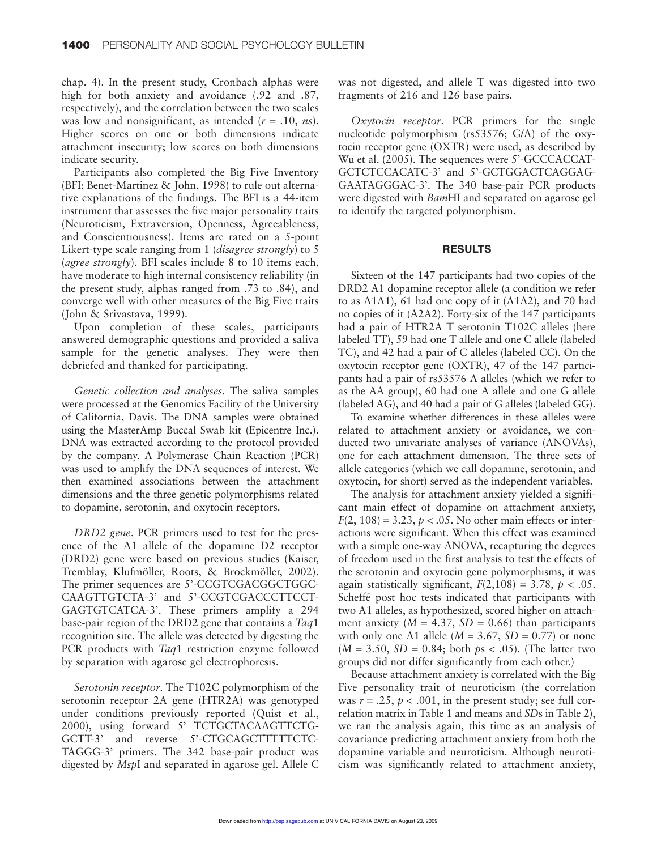chap. 4). In the present study, Cronbach alphas were high for both anxiety and avoidance (.92 and .87, respectively), and the correlation between the two scales was low and nonsignificant, as intended (*r* = .10, *ns*). Higher scores on one or both dimensions indicate attachment insecurity; low scores on both dimensions indicate security.

Participants also completed the Big Five Inventory (BFI; Benet-Martinez & John, 1998) to rule out alternative explanations of the findings. The BFI is a 44-item instrument that assesses the five major personality traits (Neuroticism, Extraversion, Openness, Agreeableness, and Conscientiousness). Items are rated on a 5-point Likert-type scale ranging from 1 (*disagree strongly*) to 5 (*agree strongly*). BFI scales include 8 to 10 items each, have moderate to high internal consistency reliability (in the present study, alphas ranged from .73 to .84), and converge well with other measures of the Big Five traits (John & Srivastava, 1999).

Upon completion of these scales, participants answered demographic questions and provided a saliva sample for the genetic analyses. They were then debriefed and thanked for participating.

*Genetic collection and analyses.* The saliva samples were processed at the Genomics Facility of the University of California, Davis. The DNA samples were obtained using the MasterAmp Buccal Swab kit (Epicentre Inc.). DNA was extracted according to the protocol provided by the company. A Polymerase Chain Reaction (PCR) was used to amplify the DNA sequences of interest. We then examined associations between the attachment dimensions and the three genetic polymorphisms related to dopamine, serotonin, and oxytocin receptors.

*DRD2 gene*. PCR primers used to test for the presence of the A1 allele of the dopamine D2 receptor (DRD2) gene were based on previous studies (Kaiser, Tremblay, Klufmöller, Roots, & Brockmöller, 2002). The primer sequences are 5'-CCGTCGACGGCTGGC-CAAGTTGTCTA-3' and 5'-CCGTCGACCCTTCCT-GAGTGTCATCA-3'. These primers amplify a 294 base-pair region of the DRD2 gene that contains a *Taq*1 recognition site. The allele was detected by digesting the PCR products with *Taq*1 restriction enzyme followed by separation with agarose gel electrophoresis.

*Serotonin receptor*. The T102C polymorphism of the serotonin receptor 2A gene (HTR2A) was genotyped under conditions previously reported (Quist et al., 2000), using forward 5' TCTGCTACAAGTTCTG-GCTT-3' and reverse 5'-CTGCAGCTTTTTCTC-TAGGG-3' primers. The 342 base-pair product was digested by *Msp*I and separated in agarose gel. Allele C was not digested, and allele T was digested into two fragments of 216 and 126 base pairs.

*Oxytocin receptor*. PCR primers for the single nucleotide polymorphism (rs53576; G/A) of the oxytocin receptor gene (OXTR) were used, as described by Wu et al. (2005). The sequences were 5'-GCCCACCAT-GCTCTCCACATC-3' and 5'-GCTGGACTCAGGAG-GAATAGGGAC-3'. The 340 base-pair PCR products were digested with *Bam*HI and separated on agarose gel to identify the targeted polymorphism.

#### **RESULTS**

Sixteen of the 147 participants had two copies of the DRD2 A1 dopamine receptor allele (a condition we refer to as A1A1), 61 had one copy of it (A1A2), and 70 had no copies of it (A2A2). Forty-six of the 147 participants had a pair of HTR2A T serotonin T102C alleles (here labeled TT), 59 had one T allele and one C allele (labeled TC), and 42 had a pair of C alleles (labeled CC). On the oxytocin receptor gene (OXTR), 47 of the 147 participants had a pair of rs53576 A alleles (which we refer to as the AA group), 60 had one A allele and one G allele (labeled AG), and 40 had a pair of G alleles (labeled GG).

To examine whether differences in these alleles were related to attachment anxiety or avoidance, we conducted two univariate analyses of variance (ANOVAs), one for each attachment dimension. The three sets of allele categories (which we call dopamine, serotonin, and oxytocin, for short) served as the independent variables.

The analysis for attachment anxiety yielded a significant main effect of dopamine on attachment anxiety,  $F(2, 108) = 3.23$ ,  $p < .05$ . No other main effects or interactions were significant. When this effect was examined with a simple one-way ANOVA, recapturing the degrees of freedom used in the first analysis to test the effects of the serotonin and oxytocin gene polymorphisms, it was again statistically significant,  $F(2,108) = 3.78$ ,  $p < .05$ . Scheffé post hoc tests indicated that participants with two A1 alleles, as hypothesized, scored higher on attachment anxiety ( $M = 4.37$ ,  $SD = 0.66$ ) than participants with only one A1 allele ( $M = 3.67$ ,  $SD = 0.77$ ) or none (*M* = 3.50, *SD* = 0.84; both *p*s < .05). (The latter two groups did not differ significantly from each other.)

Because attachment anxiety is correlated with the Big Five personality trait of neuroticism (the correlation was  $r = .25$ ,  $p < .001$ , in the present study; see full correlation matrix in Table 1 and means and *SD*s in Table 2), we ran the analysis again, this time as an analysis of covariance predicting attachment anxiety from both the dopamine variable and neuroticism. Although neuroticism was significantly related to attachment anxiety,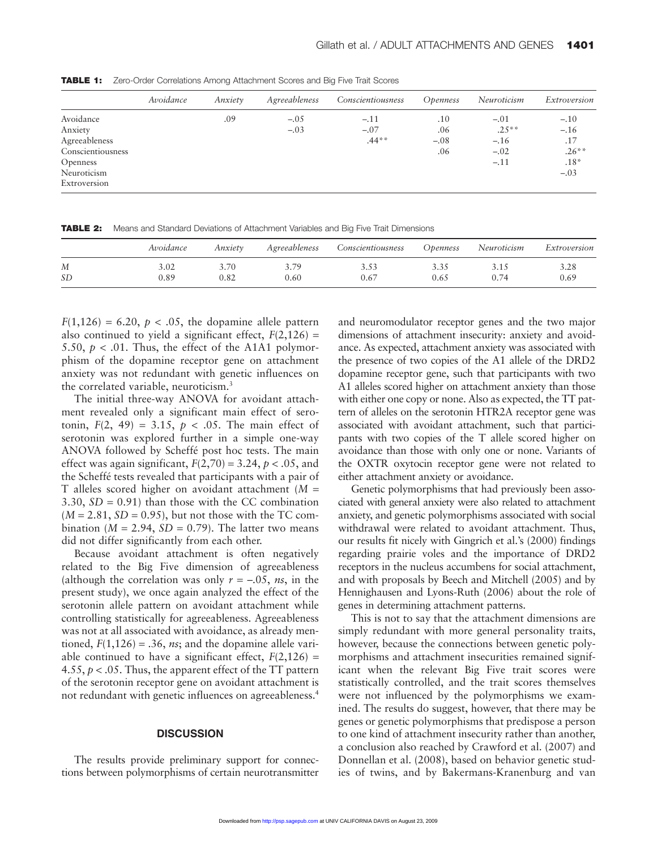**TABLE 1:** Zero-Order Correlations Among Attachment Scores and Big Five Trait Scores

|                   | Avoidance | Anxiety | Agreeableness | Conscientiousness | <i><b>Openness</b></i> | Neuroticism | Extroversion |
|-------------------|-----------|---------|---------------|-------------------|------------------------|-------------|--------------|
| Avoidance         |           | .09     | $-.05$        | $-.11$            | .10                    | $-.01$      | $-.10$       |
| Anxiety           |           |         | $-.03$        | $-.07$            | .06                    | $.25***$    | $-.16$       |
| Agreeableness     |           |         |               | $.44**$           | $-.08$                 | $-.16$      | .17          |
| Conscientiousness |           |         |               |                   | .06                    | $-.02$      | $.26***$     |
| <b>Openness</b>   |           |         |               |                   |                        | $-.11$      | $.18*$       |
| Neuroticism       |           |         |               |                   |                        |             | $-.03$       |
| Extroversion      |           |         |               |                   |                        |             |              |

**TABLE 2:** Means and Standard Deviations of Attachment Variables and Big Five Trait Dimensions

|           | Avoidance | Anxiety | Agreeableness | Conscientiousness | <i>Openness</i> | Neuroticism | Extroversion |
|-----------|-----------|---------|---------------|-------------------|-----------------|-------------|--------------|
| M         | 3.02      |         | 70            | 3.J3              |                 |             | 3.28         |
| <b>SD</b> | ).89      | 0.82    | 0.60          | 0.67              | 0.65            | 74          | 0.69         |

 $F(1,126) = 6.20, p < .05$ , the dopamine allele pattern also continued to yield a significant effect,  $F(2,126) =$ 5.50,  $p < .01$ . Thus, the effect of the A1A1 polymorphism of the dopamine receptor gene on attachment anxiety was not redundant with genetic influences on the correlated variable, neuroticism.<sup>3</sup>

The initial three-way ANOVA for avoidant attachment revealed only a significant main effect of serotonin,  $F(2, 49) = 3.15$ ,  $p < .05$ . The main effect of serotonin was explored further in a simple one-way ANOVA followed by Scheffé post hoc tests. The main effect was again significant,  $F(2,70) = 3.24$ ,  $p < .05$ , and the Scheffé tests revealed that participants with a pair of T alleles scored higher on avoidant attachment (*M* = 3.30,  $SD = 0.91$  than those with the CC combination  $(M = 2.81, SD = 0.95)$ , but not those with the TC combination ( $M = 2.94$ ,  $SD = 0.79$ ). The latter two means did not differ significantly from each other.

Because avoidant attachment is often negatively related to the Big Five dimension of agreeableness (although the correlation was only  $r = -.05$ , *ns*, in the present study), we once again analyzed the effect of the serotonin allele pattern on avoidant attachment while controlling statistically for agreeableness. Agreeableness was not at all associated with avoidance, as already mentioned,  $F(1,126) = .36$ , *ns*; and the dopamine allele variable continued to have a significant effect,  $F(2,126) =$ 4.55, *p* < .05. Thus, the apparent effect of the TT pattern of the serotonin receptor gene on avoidant attachment is not redundant with genetic influences on agreeableness.4

#### **DISCUSSION**

The results provide preliminary support for connections between polymorphisms of certain neurotransmitter

and neuromodulator receptor genes and the two major dimensions of attachment insecurity: anxiety and avoidance. As expected, attachment anxiety was associated with the presence of two copies of the A1 allele of the DRD2 dopamine receptor gene, such that participants with two A1 alleles scored higher on attachment anxiety than those with either one copy or none. Also as expected, the TT pattern of alleles on the serotonin HTR2A receptor gene was associated with avoidant attachment, such that participants with two copies of the T allele scored higher on avoidance than those with only one or none. Variants of the OXTR oxytocin receptor gene were not related to either attachment anxiety or avoidance.

Genetic polymorphisms that had previously been associated with general anxiety were also related to attachment anxiety, and genetic polymorphisms associated with social withdrawal were related to avoidant attachment. Thus, our results fit nicely with Gingrich et al.'s (2000) findings regarding prairie voles and the importance of DRD2 receptors in the nucleus accumbens for social attachment, and with proposals by Beech and Mitchell (2005) and by Hennighausen and Lyons-Ruth (2006) about the role of genes in determining attachment patterns.

This is not to say that the attachment dimensions are simply redundant with more general personality traits, however, because the connections between genetic polymorphisms and attachment insecurities remained significant when the relevant Big Five trait scores were statistically controlled, and the trait scores themselves were not influenced by the polymorphisms we examined. The results do suggest, however, that there may be genes or genetic polymorphisms that predispose a person to one kind of attachment insecurity rather than another, a conclusion also reached by Crawford et al. (2007) and Donnellan et al. (2008), based on behavior genetic studies of twins, and by Bakermans-Kranenburg and van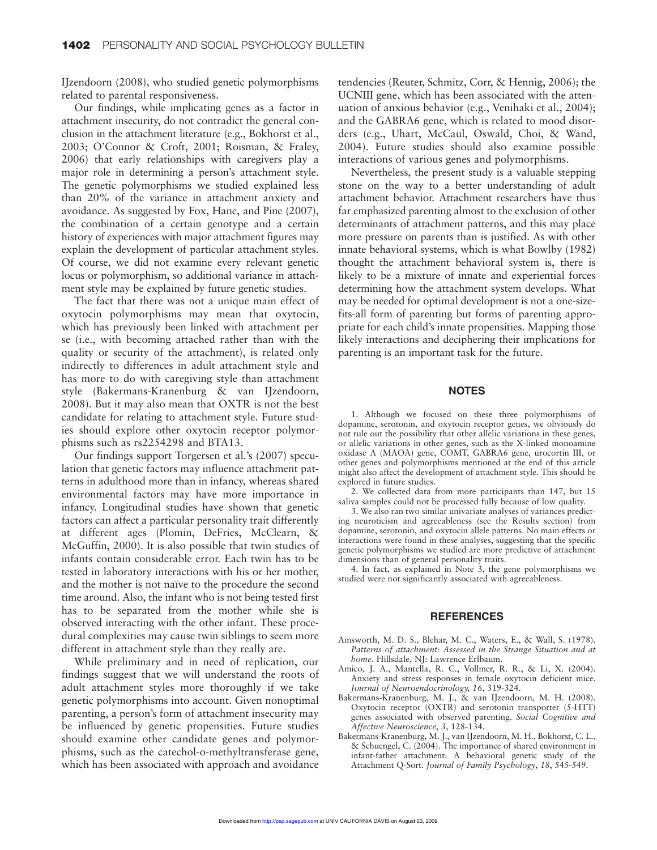IJzendoorn (2008), who studied genetic polymorphisms related to parental responsiveness.

Our findings, while implicating genes as a factor in attachment insecurity, do not contradict the general conclusion in the attachment literature (e.g., Bokhorst et al., 2003; O'Connor & Croft, 2001; Roisman, & Fraley, 2006) that early relationships with caregivers play a major role in determining a person's attachment style. The genetic polymorphisms we studied explained less than 20% of the variance in attachment anxiety and avoidance. As suggested by Fox, Hane, and Pine (2007), the combination of a certain genotype and a certain history of experiences with major attachment figures may explain the development of particular attachment styles. Of course, we did not examine every relevant genetic locus or polymorphism, so additional variance in attachment style may be explained by future genetic studies.

The fact that there was not a unique main effect of oxytocin polymorphisms may mean that oxytocin, which has previously been linked with attachment per se (i.e., with becoming attached rather than with the quality or security of the attachment), is related only indirectly to differences in adult attachment style and has more to do with caregiving style than attachment style (Bakermans-Kranenburg & van IJzendoorn, 2008). But it may also mean that OXTR is not the best candidate for relating to attachment style. Future studies should explore other oxytocin receptor polymorphisms such as rs2254298 and BTA13.

Our findings support Torgersen et al.'s (2007) speculation that genetic factors may influence attachment patterns in adulthood more than in infancy, whereas shared environmental factors may have more importance in infancy. Longitudinal studies have shown that genetic factors can affect a particular personality trait differently at different ages (Plomin, DeFries, McClearn, & McGuffin, 2000). It is also possible that twin studies of infants contain considerable error. Each twin has to be tested in laboratory interactions with his or her mother, and the mother is not naïve to the procedure the second time around. Also, the infant who is not being tested first has to be separated from the mother while she is observed interacting with the other infant. These procedural complexities may cause twin siblings to seem more different in attachment style than they really are.

While preliminary and in need of replication, our findings suggest that we will understand the roots of adult attachment styles more thoroughly if we take genetic polymorphisms into account. Given nonoptimal parenting, a person's form of attachment insecurity may be influenced by genetic propensities. Future studies should examine other candidate genes and polymorphisms, such as the catechol-o-methyltransferase gene, which has been associated with approach and avoidance

tendencies (Reuter, Schmitz, Corr, & Hennig, 2006); the UCNIII gene, which has been associated with the attenuation of anxious behavior (e.g., Venihaki et al., 2004); and the GABRA6 gene, which is related to mood disorders (e.g., Uhart, McCaul, Oswald, Choi, & Wand, 2004). Future studies should also examine possible interactions of various genes and polymorphisms.

Nevertheless, the present study is a valuable stepping stone on the way to a better understanding of adult attachment behavior. Attachment researchers have thus far emphasized parenting almost to the exclusion of other determinants of attachment patterns, and this may place more pressure on parents than is justified. As with other innate behavioral systems, which is what Bowlby (1982) thought the attachment behavioral system is, there is likely to be a mixture of innate and experiential forces determining how the attachment system develops. What may be needed for optimal development is not a one-sizefits-all form of parenting but forms of parenting appropriate for each child's innate propensities. Mapping those likely interactions and deciphering their implications for parenting is an important task for the future.

#### **NOTES**

1. Although we focused on these three polymorphisms of dopamine, serotonin, and oxytocin receptor genes, we obviously do not rule out the possibility that other allelic variations in these genes, or allelic variations in other genes, such as the X-linked monoamine oxidase A (MAOA) gene, COMT, GABRA6 gene, urocortin III, or other genes and polymorphisms mentioned at the end of this article might also affect the development of attachment style. This should be explored in future studies.

2. We collected data from more participants than 147, but 15 saliva samples could not be processed fully because of low quality.

3. We also ran two similar univariate analyses of variances predicting neuroticism and agreeableness (see the Results section) from dopamine, serotonin, and oxytocin allele patterns. No main effects or interactions were found in these analyses, suggesting that the specific genetic polymorphisms we studied are more predictive of attachment dimensions than of general personality traits.

4. In fact, as explained in Note 3, the gene polymorphisms we studied were not significantly associated with agreeableness.

#### **REFERENCES**

- Ainsworth, M. D. S., Blehar, M. C., Waters, E., & Wall, S. (1978). *Patterns of attachment: Assessed in the Strange Situation and at home*. Hillsdale, NJ: Lawrence Erlbaum.
- Amico, J. A., Mantella, R. C., Vollmer, R. R., & Li, X. (2004). Anxiety and stress responses in female oxytocin deficient mice. *Journal of Neuroendocrinology, 16*, 319-324.
- Bakermans-Kranenburg, M. J., & van IJzendoorn, M. H. (2008). Oxytocin receptor (OXTR) and serotonin transporter (5-HTT) genes associated with observed parenting. *Social Cognitive and Affective Neuroscience*, *3*, 128-134.
- Bakermans-Kranenburg, M. J., van IJzendoorn, M. H., Bokhorst, C. L., & Schuengel, C. (2004). The importance of shared environment in infant-father attachment: A behavioral genetic study of the Attachment Q-Sort. *Journal of Family Psychology*, *18*, 545-549.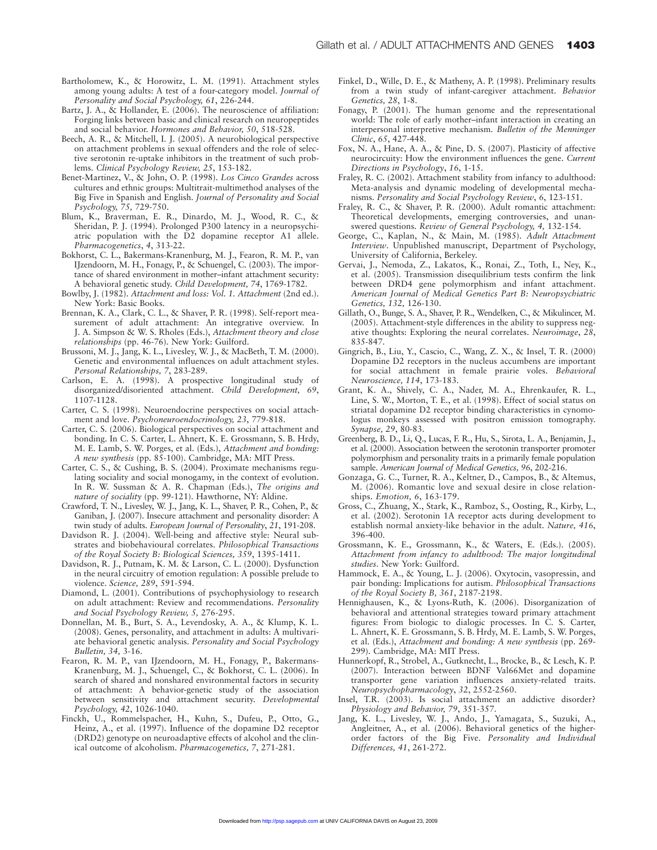- Bartholomew, K., & Horowitz, L. M. (1991). Attachment styles among young adults: A test of a four-category model. *Journal of Personality and Social Psychology, 61*, 226-244.
- Bartz, J. A., & Hollander, E. (2006). The neuroscience of affiliation: Forging links between basic and clinical research on neuropeptides and social behavior. *Hormones and Behavior, 50*, 518-528.
- Beech, A. R., & Mitchell, I. J. (2005). A neurobiological perspective on attachment problems in sexual offenders and the role of selective serotonin re-uptake inhibitors in the treatment of such problems. *Clinical Psychology Review, 25*, 153-182.
- Benet-Martinez, V., & John, O. P. (1998). *Los Cinco Grandes* across cultures and ethnic groups: Multitrait-multimethod analyses of the Big Five in Spanish and English. *Journal of Personality and Social Psychology, 75,* 729-750.
- Blum, K., Braverman, E. R., Dinardo, M. J., Wood, R. C., & Sheridan, P. J. (1994). Prolonged P300 latency in a neuropsychiatric population with the D2 dopamine receptor A1 allele. *Pharmacogenetics*, *4*, 313-22.
- Bokhorst, C. L., Bakermans-Kranenburg, M. J., Fearon, R. M. P., van IJzendoorn, M. H., Fonagy, P., & Schuengel, C. (2003). The importance of shared environment in mother–infant attachment security: A behavioral genetic study. *Child Development, 74*, 1769-1782.
- Bowlby, J. (1982). *Attachment and loss: Vol. 1. Attachment* (2nd ed.). New York: Basic Books.
- Brennan, K. A., Clark, C. L., & Shaver, P. R. (1998). Self-report measurement of adult attachment: An integrative overview. In J. A. Simpson & W. S. Rholes (Eds.), *Attachment theory and close relationships* (pp. 46-76). New York: Guilford.
- Brussoni, M. J., Jang, K. L., Livesley, W. J., & MacBeth, T. M. (2000). Genetic and environmental influences on adult attachment styles. *Personal Relationships, 7*, 283-289.
- Carlson, E. A. (1998). A prospective longitudinal study of disorganized/disoriented attachment. *Child Development, 69*, 1107-1128.
- Carter, C. S. (1998). Neuroendocrine perspectives on social attachment and love. *Psychoneuroendocrinology, 23*, 779-818.
- Carter, C. S. (2006). Biological perspectives on social attachment and bonding. In C. S. Carter, L. Ahnert, K. E. Grossmann, S. B. Hrdy, M. E. Lamb, S. W. Porges, et al. (Eds.), *Attachment and bonding: A new synthesis* (pp. 85-100). Cambridge, MA: MIT Press.
- Carter, C. S., & Cushing, B. S. (2004). Proximate mechanisms regulating sociality and social monogamy, in the context of evolution. In R. W. Sussman & A. R. Chapman (Eds.), *The origins and nature of sociality* (pp. 99-121). Hawthorne, NY: Aldine.
- Crawford, T. N., Livesley, W. J., Jang, K. L., Shaver, P. R., Cohen, P., & Ganiban, J. (2007). Insecure attachment and personality disorder: A twin study of adults. *European Journal of Personality*, *21*, 191-208.
- Davidson R. J. (2004). Well-being and affective style: Neural substrates and biobehavioural correlates. *Philosophical Transactions of the Royal Society B: Biological Sciences, 359*, 1395-1411.
- Davidson, R. J., Putnam, K. M. & Larson, C. L. (2000). Dysfunction in the neural circuitry of emotion regulation: A possible prelude to violence. *Science, 289*, 591-594.
- Diamond, L. (2001). Contributions of psychophysiology to research on adult attachment: Review and recommendations. *Personality and Social Psychology Review, 5,* 276-295.
- Donnellan, M. B., Burt, S. A., Levendosky, A. A., & Klump, K. L. (2008). Genes, personality, and attachment in adults: A multivariate behavioral genetic analysis. *Personality and Social Psychology Bulletin, 34,* 3-16.
- Fearon, R. M. P., van IJzendoorn, M. H., Fonagy, P., Bakermans-Kranenburg, M. J., Schuengel, C., & Bokhorst, C. L. (2006). In search of shared and nonshared environmental factors in security of attachment: A behavior-genetic study of the association between sensitivity and attachment security. *Developmental Psychology, 42*, 1026-1040.
- Finckh, U., Rommelspacher, H., Kuhn, S., Dufeu, P., Otto, G., Heinz, A., et al. (1997). Influence of the dopamine D2 receptor (DRD2) genotype on neuroadaptive effects of alcohol and the clinical outcome of alcoholism. *Pharmacogenetics, 7*, 271-281.
- Finkel, D., Wille, D. E., & Matheny, A. P. (1998). Preliminary results from a twin study of infant-caregiver attachment. *Behavior Genetics, 28*, 1-8.
- Fonagy, P. (2001). The human genome and the representational world: The role of early mother–infant interaction in creating an interpersonal interpretive mechanism. *Bulletin of the Menninger Clinic*, *65*, 427-448.
- Fox, N. A., Hane, A. A., & Pine, D. S. (2007). Plasticity of affective neurocircuity: How the environment influences the gene. *Current Directions in Psychology*, *16*, 1-15.
- Fraley, R. C. (2002). Attachment stability from infancy to adulthood: Meta-analysis and dynamic modeling of developmental mechanisms. *Personality and Social Psychology Review*, *6*, 123-151.
- Fraley, R. C., & Shaver, P. R. (2000). Adult romantic attachment: Theoretical developments, emerging controversies, and unanswered questions. *Review of General Psychology, 4,* 132-154*.*
- George, C., Kaplan, N., & Main, M. (1985). *Adult Attachment Interview*. Unpublished manuscript, Department of Psychology, University of California, Berkeley.
- Gervai, J., Nemoda, Z., Lakatos, K., Ronai, Z., Toth, I., Ney, K., et al. (2005). Transmission disequilibrium tests confirm the link between DRD4 gene polymorphism and infant attachment. *American Journal of Medical Genetics Part B: Neuropsychiatric Genetics, 132,* 126-130.
- Gillath, O., Bunge, S. A., Shaver, P. R., Wendelken, C., & Mikulincer, M. (2005). Attachment-style differences in the ability to suppress negative thoughts: Exploring the neural correlates. *Neuroimage*, *28*, 835-847.
- Gingrich, B., Liu, Y., Cascio, C., Wang, Z. X., & Insel, T. R. (2000) Dopamine D2 receptors in the nucleus accumbens are important for social attachment in female prairie voles. *Behavioral Neuroscience, 114*, 173-183.
- Grant, K. A., Shively, C. A., Nader, M. A., Ehrenkaufer, R. L., Line, S. W., Morton, T. E., et al. (1998). Effect of social status on striatal dopamine D2 receptor binding characteristics in cynomologus monkeys assessed with positron emission tomography. *Synapse, 29*, 80-83.
- Greenberg, B. D., Li, Q., Lucas, F. R., Hu, S., Sirota, L. A., Benjamin, J., et al. (2000). Association between the serotonin transporter promoter polymorphism and personality traits in a primarily female population sample. *American Journal of Medical Genetics, 96*, 202-216.
- Gonzaga, G. C., Turner, R. A., Keltner, D., Campos, B., & Altemus, M. (2006). Romantic love and sexual desire in close relationships. *Emotion, 6*, 163-179.
- Gross, C., Zhuang, X., Stark, K., Ramboz, S., Oosting, R., Kirby, L., et al. (2002). Serotonin 1A receptor acts during development to establish normal anxiety-like behavior in the adult. *Nature, 416*, 396-400.
- Grossmann, K. E., Grossmann, K., & Waters, E. (Eds.). (2005). *Attachment from infancy to adulthood: The major longitudinal studies*. New York: Guilford.
- Hammock, E. A., & Young, L. J. (2006). Oxytocin, vasopressin, and pair bonding: Implications for autism. *Philosophical Transactions of the Royal Society B, 361*, 2187-2198.
- Hennighausen, K., & Lyons-Ruth, K. (2006). Disorganization of behavioral and attentional strategies toward primary attachment figures: From biologic to dialogic processes. In C. S. Carter, L. Ahnert, K. E. Grossmann, S. B. Hrdy, M. E. Lamb, S. W. Porges, et al. (Eds.), *Attachment and bonding: A new synthesis* (pp. 269- 299). Cambridge, MA: MIT Press.
- Hunnerkopf, R., Strobel, A., Gutknecht, L., Brocke, B., & Lesch, K. P. (2007). Interaction between BDNF Val66Met and dopamine transporter gene variation influences anxiety-related traits. *Neuropsychopharmacology*, *32*, 2552-2560.
- Insel, T.R. (2003). Is social attachment an addictive disorder? *Physiology and Behavior, 79*, 351-357.
- Jang, K. L., Livesley, W. J., Ando, J., Yamagata, S., Suzuki, A., Angleitner, A., et al. (2006). Behavioral genetics of the higherorder factors of the Big Five. *Personality and Individual Differences, 41*, 261-272.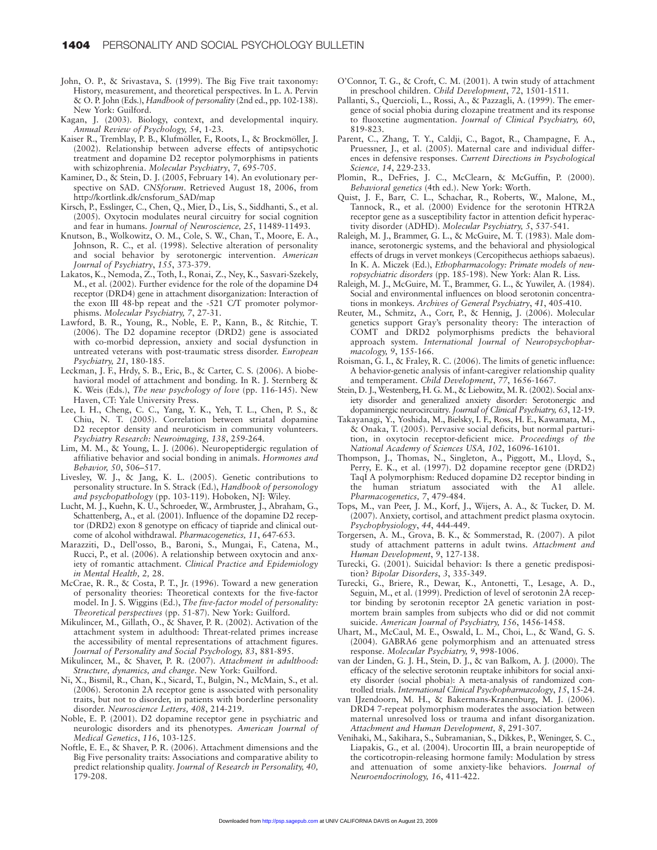- John, O. P., & Srivastava, S. (1999). The Big Five trait taxonomy: History, measurement, and theoretical perspectives. In L. A. Pervin & O. P. John (Eds.), *Handbook of personality* (2nd ed., pp. 102-138). New York: Guilford.
- Kagan, J. (2003). Biology, context, and developmental inquiry. *Annual Review of Psychology, 54*, 1-23.
- Kaiser R., Tremblay, P. B., Klufmöller, F., Roots, I., & Brockmöller, J. (2002). Relationship between adverse effects of antipsychotic treatment and dopamine D2 receptor polymorphisms in patients with schizophrenia. *Molecular Psychiatry*, *7*, 695-705.
- Kaminer, D., & Stein, D. J. (2005, February 14). An evolutionary perspective on SAD. *CNSforum*. Retrieved August 18, 2006, from http://kortlink.dk/cnsforum\_SAD/map
- Kirsch, P., Esslinger, C., Chen, Q., Mier, D., Lis, S., Siddhanti, S., et al. (2005). Oxytocin modulates neural circuitry for social cognition and fear in humans. *Journal of Neuroscience, 25*, 11489-11493.
- Knutson, B., Wolkowitz, O. M., Cole, S. W., Chan, T., Moore, E. A., Johnson, R. C., et al. (1998). Selective alteration of personality and social behavior by serotonergic intervention. *American Journal of Psychiatry*, *155*, 373-379.
- Lakatos, K., Nemoda, Z., Toth, I., Ronai, Z., Ney, K., Sasvari-Szekely, M., et al. (2002). Further evidence for the role of the dopamine D4 receptor (DRD4) gene in attachment disorganization: Interaction of the exon III 48-bp repeat and the -521 C/T promoter polymorphisms. *Molecular Psychiatry, 7*, 27-31.
- Lawford, B. R., Young, R., Noble, E. P., Kann, B., & Ritchie, T. (2006). The D2 dopamine receptor (DRD2) gene is associated with co-morbid depression, anxiety and social dysfunction in untreated veterans with post-traumatic stress disorder. *European Psychiatry, 21*, 180-185.
- Leckman, J. F., Hrdy, S. B., Eric, B., & Carter, C. S. (2006). A biobehavioral model of attachment and bonding. In R. J. Sternberg & K. Weis (Eds.), *The new psychology of love* (pp. 116-145). New Haven, CT: Yale University Press.
- Lee, I. H., Cheng, C. C., Yang, Y. K., Yeh, T. L., Chen, P. S., & Chiu, N. T. (2005). Correlation between striatal dopamine D2 receptor density and neuroticism in community volunteers. *Psychiatry Research: Neuroimaging, 138*, 259-264.
- Lim, M. M., & Young, L. J. (2006). Neuropeptidergic regulation of affiliative behavior and social bonding in animals. *Hormones and Behavior, 50*, 506–517.
- Livesley, W. J., & Jang, K. L. (2005). Genetic contributions to personality structure. In S. Strack (Ed.), *Handbook of personology and psychopathology* (pp. 103-119). Hoboken, NJ: Wiley.
- Lucht, M. J., Kuehn, K. U., Schroeder, W., Armbruster, J., Abraham, G., Schattenberg, A., et al. (2001). Influence of the dopamine D2 receptor (DRD2) exon 8 genotype on efficacy of tiapride and clinical outcome of alcohol withdrawal. *Pharmacogenetics, 11*, 647-653.
- Marazziti, D., Dell'osso, B., Baroni, S., Mungai, F., Catena, M., Rucci, P., et al. (2006). A relationship between oxytocin and anxiety of romantic attachment. *Clinical Practice and Epidemiology in Mental Health, 2,* 28.
- McCrae, R. R., & Costa, P. T., Jr. (1996). Toward a new generation of personality theories: Theoretical contexts for the five-factor model. In J. S. Wiggins (Ed.), *The five-factor model of personality: Theoretical perspectives* (pp. 51-87). New York: Guilford.
- Mikulincer, M., Gillath, O., & Shaver, P. R. (2002). Activation of the attachment system in adulthood: Threat-related primes increase the accessibility of mental representations of attachment figures. *Journal of Personality and Social Psychology, 83*, 881-895.
- Mikulincer, M., & Shaver, P. R. (2007). *Attachment in adulthood: Structure, dynamics, and change*. New York: Guilford.
- Ni, X., Bismil, R., Chan, K., Sicard, T., Bulgin, N., McMain, S., et al. (2006). Serotonin 2A receptor gene is associated with personality traits, but not to disorder, in patients with borderline personality disorder. *Neuroscience Letters, 408*, 214-219.
- Noble, E. P. (2001). D2 dopamine receptor gene in psychiatric and neurologic disorders and its phenotypes. *American Journal of Medical Genetics*, *116*, 103-125.
- Noftle, E. E., & Shaver, P. R. (2006). Attachment dimensions and the Big Five personality traits: Associations and comparative ability to predict relationship quality. *Journal of Research in Personality, 40,* 179-208.
- O'Connor, T. G., & Croft, C. M. (2001). A twin study of attachment in preschool children. *Child Development*, *72*, 1501-1511.
- Pallanti, S., Quercioli, L., Rossi, A., & Pazzagli, A. (1999). The emergence of social phobia during clozapine treatment and its response to fluoxetine augmentation. *Journal of Clinical Psychiatry, 60*, 819-823.
- Parent, C., Zhang, T. Y., Caldji, C., Bagot, R., Champagne, F. A., Pruessner, J., et al. (2005). Maternal care and individual differences in defensive responses. *Current Directions in Psychological Science, 14*, 229-233.
- Plomin, R., DeFries, J. C., McClearn, & McGuffin, P. (2000). *Behavioral genetics* (4th ed.). New York: Worth.
- Quist, J. F., Barr, C. L., Schachar, R., Roberts, W., Malone, M., Tannock, R., et al. (2000) Evidence for the serotonin HTR2A receptor gene as a susceptibility factor in attention deficit hyperactivity disorder (ADHD). *Molecular Psychiatry, 5*, 537-541.
- Raleigh, M. J., Brammer, G. L., & McGuire, M. T. (1983). Male dominance, serotonergic systems, and the behavioral and physiological effects of drugs in vervet monkeys (Cercopithecus aethiops sabaeus). In K. A. Miczek (Ed.), *Ethopharmacology: Primate models of neuropsychiatric disorders* (pp. 185-198). New York: Alan R. Liss.
- Raleigh, M. J., McGuire, M. T., Brammer, G. L., & Yuwiler, A. (1984). Social and environmental influences on blood serotonin concentrations in monkeys. *Archives of General Psychiatry*, *41*, 405-410.
- Reuter, M., Schmitz, A., Corr, P., & Hennig, J. (2006). Molecular genetics support Gray's personality theory: The interaction of COMT and DRD2 polymorphisms predicts the behavioral approach system. *International Journal of Neuropsychopharmacology, 9*, 155-166.
- Roisman, G. I., & Fraley, R. C. (2006). The limits of genetic influence: A behavior-genetic analysis of infant-caregiver relationship quality and temperament. *Child Development*, *77*, 1656-1667.
- Stein, D. J., Westenberg, H. G. M., & Liebowitz, M. R. (2002). Social anxiety disorder and generalized anxiety disorder: Serotonergic and dopaminergic neurocircuitry. *Journal of Clinical Psychiatry, 63*, 12-19.
- Takayanagi, Y., Yoshida, M., Bielsky, I. F., Ross, H. E., Kawamata, M., & Onaka, T. (2005). Pervasive social deficits, but normal parturition, in oxytocin receptor-deficient mice. *Proceedings of the National Academy of Sciences USA, 102*, 16096-16101.
- Thompson, J., Thomas, N., Singleton, A., Piggott, M., Lloyd, S., Perry, E. K., et al. (1997). D2 dopamine receptor gene (DRD2) TaqI A polymorphism: Reduced dopamine D2 receptor binding in the human striatum associated with the A1 allele. *Pharmacogenetics, 7*, 479-484.
- Tops, M., van Peer, J. M., Korf, J., Wijers, A. A., & Tucker, D. M. (2007). Anxiety, cortisol, and attachment predict plasma oxytocin. *Psychophysiology*, *44*, 444-449.
- Torgersen, A. M., Grova, B. K., & Sommerstad, R. (2007). A pilot study of attachment patterns in adult twins. *Attachment and Human Development*, *9*, 127-138.
- Turecki, G. (2001). Suicidal behavior: Is there a genetic predisposition? *Bipolar Disorders*, *3*, 335-349.
- Turecki, G., Briere, R., Dewar, K., Antonetti, T., Lesage, A. D., Seguin, M., et al. (1999). Prediction of level of serotonin 2A receptor binding by serotonin receptor 2A genetic variation in postmortem brain samples from subjects who did or did not commit suicide. *American Journal of Psychiatry, 156*, 1456-1458.
- Uhart, M., McCaul, M. E., Oswald, L. M., Choi, L., & Wand, G. S. (2004). GABRA6 gene polymorphism and an attenuated stress response. *Molecular Psychiatry, 9*, 998-1006.
- van der Linden, G. J. H., Stein, D. J., & van Balkom, A. J. (2000). The efficacy of the selective serotonin reuptake inhibitors for social anxiety disorder (social phobia): A meta-analysis of randomized controlled trials. *International Clinical Psychopharmacology*, *15*, 15-24.
- van IJzendoorn, M. H., & Bakermans-Kranenburg, M. J. (2006). DRD4 7-repeat polymorphism moderates the association between maternal unresolved loss or trauma and infant disorganization. *Attachment and Human Development, 8*, 291-307.
- Venihaki, M., Sakihara, S., Subramanian, S., Dikkes, P., Weninger, S. C., Liapakis, G., et al. (2004). Urocortin III, a brain neuropeptide of the corticotropin-releasing hormone family: Modulation by stress and attenuation of some anxiety-like behaviors. *Journal of Neuroendocrinology, 16*, 411-422.